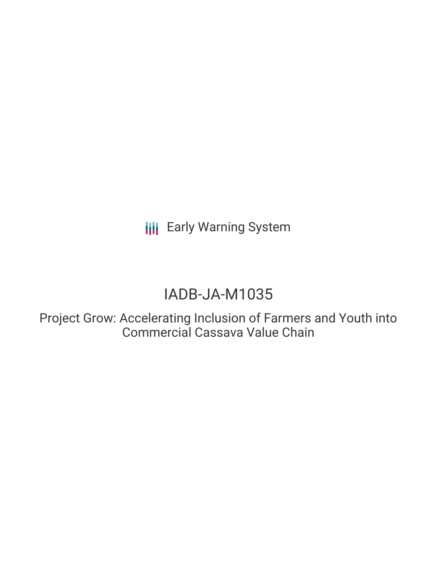**III** Early Warning System

# IADB-JA-M1035

Project Grow: Accelerating Inclusion of Farmers and Youth into Commercial Cassava Value Chain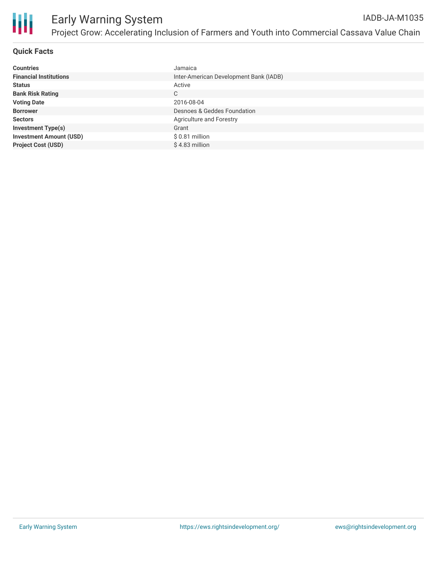

# **Quick Facts**

| <b>Countries</b>               | Jamaica                                |
|--------------------------------|----------------------------------------|
| <b>Financial Institutions</b>  | Inter-American Development Bank (IADB) |
| <b>Status</b>                  | Active                                 |
| <b>Bank Risk Rating</b>        | C                                      |
| <b>Voting Date</b>             | 2016-08-04                             |
| <b>Borrower</b>                | Desnoes & Geddes Foundation            |
| <b>Sectors</b>                 | Agriculture and Forestry               |
| <b>Investment Type(s)</b>      | Grant                                  |
| <b>Investment Amount (USD)</b> | $$0.81$ million                        |
| <b>Project Cost (USD)</b>      | \$4.83 million                         |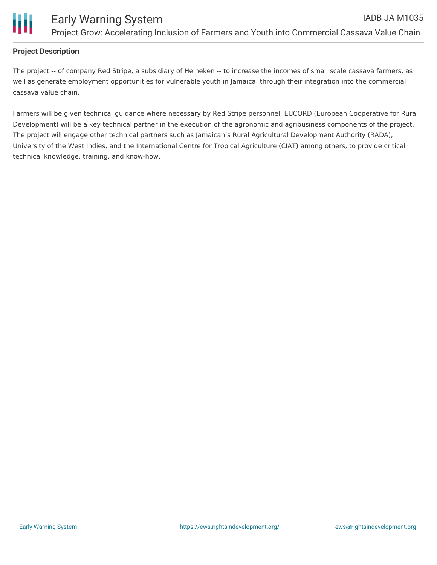

## **Project Description**

The project -- of company Red Stripe, a subsidiary of Heineken -- to increase the incomes of small scale cassava farmers, as well as generate employment opportunities for vulnerable youth in Jamaica, through their integration into the commercial cassava value chain.

Farmers will be given technical guidance where necessary by Red Stripe personnel. EUCORD (European Cooperative for Rural Development) will be a key technical partner in the execution of the agronomic and agribusiness components of the project. The project will engage other technical partners such as Jamaican's Rural Agricultural Development Authority (RADA), University of the West Indies, and the International Centre for Tropical Agriculture (CIAT) among others, to provide critical technical knowledge, training, and know-how.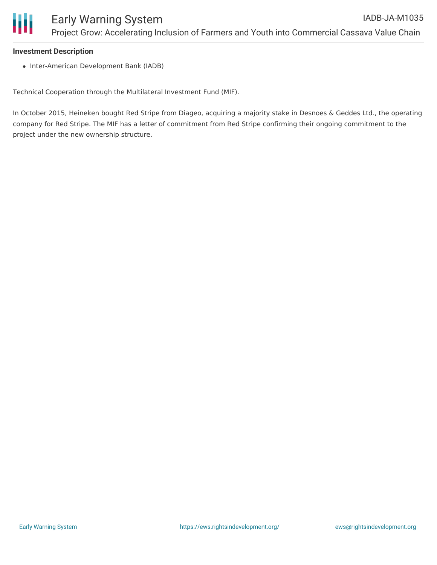#### **Investment Description**

• Inter-American Development Bank (IADB)

Technical Cooperation through the Multilateral Investment Fund (MIF).

In October 2015, Heineken bought Red Stripe from Diageo, acquiring a majority stake in Desnoes & Geddes Ltd., the operating company for Red Stripe. The MIF has a letter of commitment from Red Stripe confirming their ongoing commitment to the project under the new ownership structure.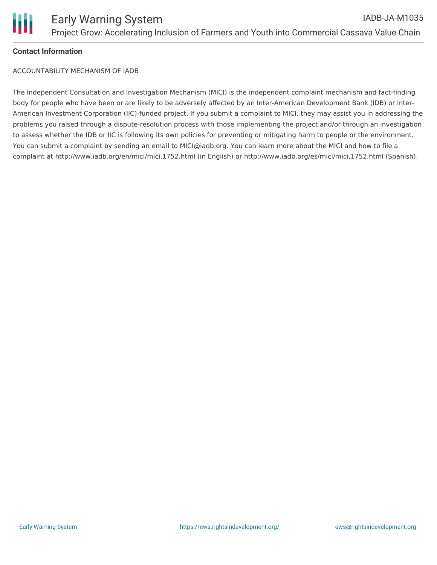

## **Contact Information**

ACCOUNTABILITY MECHANISM OF IADB

The Independent Consultation and Investigation Mechanism (MICI) is the independent complaint mechanism and fact-finding body for people who have been or are likely to be adversely affected by an Inter-American Development Bank (IDB) or Inter-American Investment Corporation (IIC)-funded project. If you submit a complaint to MICI, they may assist you in addressing the problems you raised through a dispute-resolution process with those implementing the project and/or through an investigation to assess whether the IDB or IIC is following its own policies for preventing or mitigating harm to people or the environment. You can submit a complaint by sending an email to MICI@iadb.org. You can learn more about the MICI and how to file a complaint at http://www.iadb.org/en/mici/mici,1752.html (in English) or http://www.iadb.org/es/mici/mici,1752.html (Spanish).